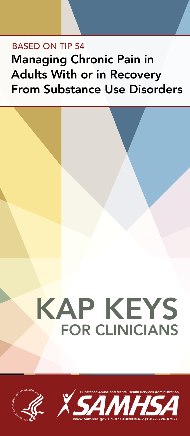## Based on Tip 54 Managing Chronic Pain in Adults With or in Recovery From Substance Use Disorders



# KAP KEYS FOR CLINICIANS



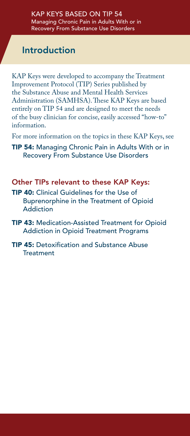### Introduction

KAP Keys were developed to accompany the Treatment Improvement Protocol (TIP) Series published by the Substance Abuse and Mental Health Services Administration (SAMHSA). These KAP Keys are based entirely on TIP 54 and are designed to meet the needs of the busy clinician for concise, easily accessed "how-to" information.

For more information on the topics in these KAP Keys, see

**TIP 54:** Managing Chronic Pain in Adults With or in **Recovery From Substance Use Disorders** 

#### Other TIPs relevant to these KAP Keys:

- **TIP 40:** Clinical Guidelines for the Use of Buprenorphine in the Treatment of Opioid **Addiction**
- TIP 43: Medication-Assisted Treatment for Opioid Addiction in Opioid Treatment Programs
- **TIP 45: Detoxification and Substance Abuse Treatment**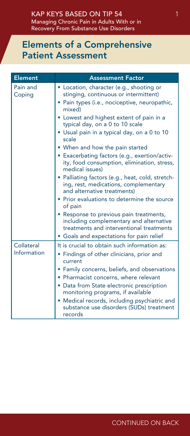### Elements of a Comprehensive Patient Assessment

| <b>Element</b>     | <b>Assessment Factor</b>                                                                                                                     |  |  |  |  |
|--------------------|----------------------------------------------------------------------------------------------------------------------------------------------|--|--|--|--|
| Pain and<br>Coping | · Location, character (e.g., shooting or<br>stinging, continuous or intermittent)<br>• Pain types (i.e., nociceptive, neuropathic,<br>mixed) |  |  |  |  |
|                    | • Lowest and highest extent of pain in a<br>typical day, on a 0 to 10 scale<br>• Usual pain in a typical day, on a 0 to 10                   |  |  |  |  |
|                    | scale                                                                                                                                        |  |  |  |  |
|                    | • When and how the pain started                                                                                                              |  |  |  |  |
|                    | • Exacerbating factors (e.g., exertion/activ-<br>ity, food consumption, elimination, stress,<br>medical issues)                              |  |  |  |  |
|                    | • Palliating factors (e.g., heat, cold, stretch-<br>ing, rest, medications, complementary<br>and alternative treatments)                     |  |  |  |  |
|                    | • Prior evaluations to determine the source<br>of pain                                                                                       |  |  |  |  |
|                    | • Response to previous pain treatments,<br>including complementary and alternative<br>treatments and interventional treatments               |  |  |  |  |
|                    | • Goals and expectations for pain relief                                                                                                     |  |  |  |  |
| Collateral         | It is crucial to obtain such information as:                                                                                                 |  |  |  |  |
| Information        | • Findings of other clinicians, prior and<br>current                                                                                         |  |  |  |  |
|                    | • Family concerns, beliefs, and observations                                                                                                 |  |  |  |  |
|                    | • Pharmacist concerns, where relevant                                                                                                        |  |  |  |  |
|                    | • Data from State electronic prescription<br>monitoring programs, if available                                                               |  |  |  |  |
|                    | • Medical records, including psychiatric and<br>substance use disorders (SUDs) treatment<br>records                                          |  |  |  |  |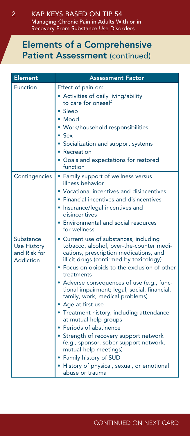#### Elements of a Comprehensive Patient Assessment (continued)

| <b>Element</b>                                                      | <b>Assessment Factor</b>                                                                                                                                                                                                                                                                                                                                                                                                                                                                                                                                                                                                                                                                              |
|---------------------------------------------------------------------|-------------------------------------------------------------------------------------------------------------------------------------------------------------------------------------------------------------------------------------------------------------------------------------------------------------------------------------------------------------------------------------------------------------------------------------------------------------------------------------------------------------------------------------------------------------------------------------------------------------------------------------------------------------------------------------------------------|
| Function                                                            | Effect of pain on:<br>• Activities of daily living/ability<br>to care for oneself<br>• Sleep<br>• Mood<br>Work/household responsibilities<br>Sex<br>Socialization and support systems<br>Recreation<br>Goals and expectations for restored<br>function                                                                                                                                                                                                                                                                                                                                                                                                                                                |
| Contingencies                                                       | • Family support of wellness versus<br>illness behavior<br>Vocational incentives and disincentives<br>Financial incentives and disincentives<br>Insurance/legal incentives and<br>disincentives<br>Environmental and social resources<br>for wellness                                                                                                                                                                                                                                                                                                                                                                                                                                                 |
| Substance<br><b>Use History</b><br>and Risk for<br><b>Addiction</b> | • Current use of substances, including<br>tobacco, alcohol, over-the-counter medi-<br>cations, prescription medications, and<br>illicit drugs (confirmed by toxicology)<br>• Focus on opioids to the exclusion of other<br>treatments<br>Adverse consequences of use (e.g., func-<br>tional impairment; legal, social, financial,<br>family, work, medical problems)<br>• Age at first use<br>• Treatment history, including attendance<br>at mutual-help groups<br>• Periods of abstinence<br>• Strength of recovery support network<br>(e.g., sponsor, sober support network,<br>mutual-help meetings)<br>• Family history of SUD<br>• History of physical, sexual, or emotional<br>abuse or trauma |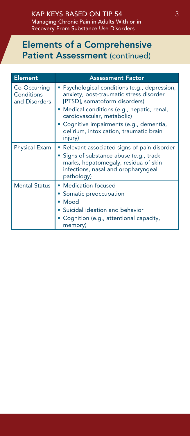### Elements of a Comprehensive Patient Assessment (continued)

| <b>Element</b>                              | <b>Assessment Factor</b>                                                                                                                                                                                                                           |
|---------------------------------------------|----------------------------------------------------------------------------------------------------------------------------------------------------------------------------------------------------------------------------------------------------|
| Co-Occurring<br>Conditions<br>and Disorders | · Psychological conditions (e.g., depression,<br>anxiety, post-traumatic stress disorder<br>[PTSD], somatoform disorders)<br>• Medical conditions (e.g., hepatic, renal,<br>cardiovascular, metabolic)<br>· Cognitive impairments (e.g., dementia, |
|                                             | delirium, intoxication, traumatic brain<br>injury)                                                                                                                                                                                                 |
| <b>Physical Exam</b>                        | • Relevant associated signs of pain disorder                                                                                                                                                                                                       |
|                                             | • Signs of substance abuse (e.g., track<br>marks, hepatomegaly, residua of skin<br>infections, nasal and oropharyngeal<br>pathology)                                                                                                               |
| <b>Mental Status</b>                        | • Medication focused                                                                                                                                                                                                                               |
|                                             | • Somatic preoccupation                                                                                                                                                                                                                            |
|                                             | • Mood                                                                                                                                                                                                                                             |
|                                             | • Suicidal ideation and behavior                                                                                                                                                                                                                   |
|                                             | ○ Cognition (e.g., attentional capacity,<br>memory)                                                                                                                                                                                                |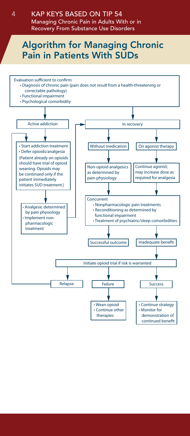Managing Chronic Pain in Adults With or in Recovery From Substance Use Disorders

### Algorithm for Managing Chronic Pain in Patients With SUDs

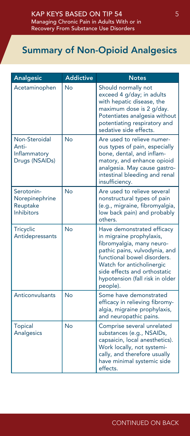### Summary of Non-Opioid Analgesics

| <b>Analgesic</b>                                              | <b>Addictive</b> | <b>Notes</b>                                                                                                                                                                                                                                                    |  |  |
|---------------------------------------------------------------|------------------|-----------------------------------------------------------------------------------------------------------------------------------------------------------------------------------------------------------------------------------------------------------------|--|--|
| Acetaminophen                                                 | No               | Should normally not<br>exceed 4 g/day; in adults<br>with hepatic disease, the<br>maximum dose is 2 g/day.<br>Potentiates analgesia without<br>potentiating respiratory and<br>sedative side effects.                                                            |  |  |
| Non-Steroidal<br>Anti-<br>Inflammatory<br>Drugs (NSAIDs)      | <b>No</b>        | Are used to relieve numer-<br>ous types of pain, especially<br>bone, dental, and inflam-<br>matory, and enhance opioid<br>analgesia. May cause gastro-<br>intestinal bleeding and renal<br>insufficiency.                                                       |  |  |
| Serotonin-<br>Norepinephrine<br>Reuptake<br><b>Inhibitors</b> | <b>No</b>        | Are used to relieve several<br>nonstructural types of pain<br>(e.g., migraine, fibromyalgia,<br>low back pain) and probably<br>others.                                                                                                                          |  |  |
| Tricyclic<br>Antidepressants                                  | <b>No</b>        | Have demonstrated efficacy<br>in migraine prophylaxis,<br>fibromyalgia, many neuro-<br>pathic pains, vulvodynia, and<br>functional bowel disorders.<br>Watch for anticholinergic<br>side effects and orthostatic<br>hypotension (fall risk in older<br>people). |  |  |
| Anticonvulsants                                               | No               | Some have demonstrated<br>efficacy in relieving fibromy-<br>algia, migraine prophylaxis,<br>and neuropathic pains.                                                                                                                                              |  |  |
| <b>Topical</b><br>Analgesics                                  | No               | Comprise several unrelated<br>substances (e.g., NSAIDs,<br>capsaicin, local anesthetics).<br>Work locally, not systemi-<br>cally, and therefore usually<br>have minimal systemic side<br>effects.                                                               |  |  |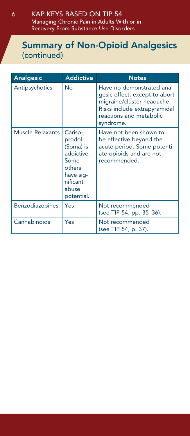#### KAP Keys Based on TIP 54 Managing Chronic Pain in Adults With or in Recovery From Substance Use Disorders

#### Summary of Non-Opioid Analgesics (continued)

| <b>Analgesic</b> | <b>Addictive</b>                                                                                               | <b>Notes</b>                                                                                                                                                      |
|------------------|----------------------------------------------------------------------------------------------------------------|-------------------------------------------------------------------------------------------------------------------------------------------------------------------|
| Antipsychotics   | No                                                                                                             | Have no demonstrated anal-<br>gesic effect, except to abort<br>migraine/cluster headache.<br>Risks include extrapyramidal<br>reactions and metabolic<br>syndrome. |
| Muscle Relaxants | Cariso-<br>prodol<br>(Soma) is<br>addictive.<br>Some<br>others<br>have sig-<br>nificant<br>abuse<br>potential. | Have not been shown to<br>be effective beyond the<br>acute period. Some potenti-<br>ate opioids and are not<br>recommended.                                       |
| Benzodiazepines  | Yes                                                                                                            | Not recommended<br>(see TIP 54, pp. 35–36).                                                                                                                       |
| Cannabinoids     | Yes                                                                                                            | Not recommended<br>(see TIP 54, p. 37).                                                                                                                           |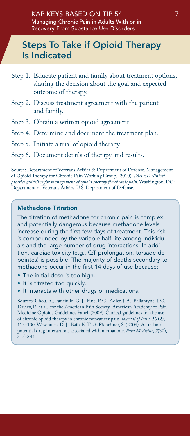### Steps To Take if Opioid Therapy Is Indicated

- Step 1. Educate patient and family about treatment options, sharing the decision about the goal and expected outcome of therapy.
- Step 2. Discuss treatment agreement with the patient and family.
- Step 3. Obtain a written opioid agreement.
- Step 4. Determine and document the treatment plan.
- Step 5. Initiate a trial of opioid therapy.
- Step 6. Document details of therapy and results.

Source: Department of Veterans Affairs & Department of Defense, Management of Opioid Therapy for Chronic Pain Working Group. (2010). *VA/DoD clinical practice guideline for management of opioid therapy for chronic pain*. Washington, DC: Department of Veterans Affairs, U.S. Department of Defense.

#### Methadone Titration

The titration of methadone for chronic pain is complex and potentially dangerous because methadone levels increase during the first few days of treatment. This risk is compounded by the variable half-life among individuals and the large number of drug interactions. In addition, cardiac toxicity (e.g., QT prolongation, torsade de pointes) is possible. The majority of deaths secondary to methadone occur in the first 14 days of use because:

- The initial dose is too high.
- It is titrated too quickly.
- It interacts with other drugs or medications.

Sources: Chou, R., Fanciullo, G. J., Fine, P. G., Adler, J. A., Ballantyne, J. C., Davies, P., et al., for the American Pain Society–American Academy of Pain Medicine Opioids Guidelines Panel. (2009). Clinical guidelines for the use of chronic opioid therapy in chronic noncancer pain. *Journal of Pain, 10* (2), 113–130. Weschules, D. J., Baib, K. T., & Richeimer, S. (2008). Actual and potential drug interactions associated with methadone. *Pain Medicine, 9*(30),  $315 - 344.$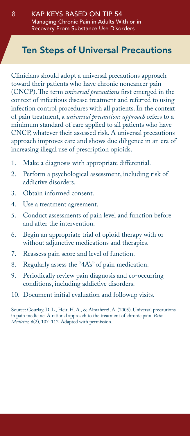### Ten Steps of Universal Precautions

Clinicians should adopt a universal precautions approach toward their patients who have chronic noncancer pain (CNCP). The term *universal precautions* first emerged in the context of infectious disease treatment and referred to using infection control procedures with all patients. In the context of pain treatment, a *universal precautions approach* refers to a minimum standard of care applied to all patients who have CNCP, whatever their assessed risk. A universal precautions approach improves care and shows due diligence in an era of increasing illegal use of prescription opioids.

- 1. Make a diagnosis with appropriate differential.
- 2. Perform a psychological assessment, including risk of addictive disorders.
- 3. Obtain informed consent.
- 4. Use a treatment agreement.
- 5. Conduct assessments of pain level and function before and after the intervention.
- 6. Begin an appropriate trial of opioid therapy with or without adjunctive medications and therapies.
- 7. Reassess pain score and level of function.
- 8. Regularly assess the "4A's" of pain medication.
- 9. Periodically review pain diagnosis and co-occurring conditions, including addictive disorders.
- 10. Document initial evaluation and followup visits.

Source: Gourlay, D. L., Heit, H. A., & Almahrezi, A. (2005). Universal precautions in pain medicine: A rational approach to the treatment of chronic pain. *Pain Medicine, 6*(2), 107–112. Adapted with permission.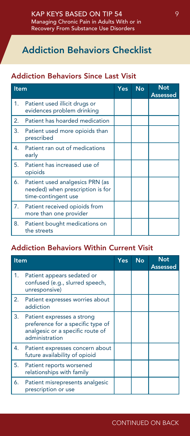### Addiction Behaviors Checklist

#### Addiction Behaviors Since Last Visit

| Item |                                                                                            | <b>Yes</b> | <b>No</b> | <b>Not</b><br><b>Assessed</b> |
|------|--------------------------------------------------------------------------------------------|------------|-----------|-------------------------------|
| 1.   | Patient used illicit drugs or<br>evidences problem drinking                                |            |           |                               |
| 2.   | Patient has hoarded medication                                                             |            |           |                               |
| 3.   | Patient used more opioids than<br>prescribed                                               |            |           |                               |
| 4.   | Patient ran out of medications<br>early                                                    |            |           |                               |
| 5.   | Patient has increased use of<br>opioids                                                    |            |           |                               |
| 6.   | Patient used analgesics PRN (as<br>needed) when prescription is for<br>time-contingent use |            |           |                               |
| 7.   | Patient received opioids from<br>more than one provider                                    |            |           |                               |
| 8.   | Patient bought medications on<br>the streets                                               |            |           |                               |

#### Addiction Behaviors Within Current Visit

| Item |                                                                                                                       | <b>Yes</b> | <b>No</b> | <b>Not</b><br>Assessed |
|------|-----------------------------------------------------------------------------------------------------------------------|------------|-----------|------------------------|
| 1.   | Patient appears sedated or<br>confused (e.g., slurred speech,<br>unresponsive)                                        |            |           |                        |
| 2.   | Patient expresses worries about<br>addiction                                                                          |            |           |                        |
| 3.   | Patient expresses a strong<br>preference for a specific type of<br>analgesic or a specific route of<br>administration |            |           |                        |
| 4.   | Patient expresses concern about<br>future availability of opioid                                                      |            |           |                        |
| 5.   | Patient reports worsened<br>relationships with family                                                                 |            |           |                        |
| 6.   | Patient misrepresents analgesic<br>prescription or use                                                                |            |           |                        |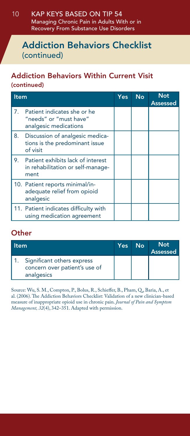#### KAP Keys Based on TIP 54 Managing Chronic Pain in Adults With or in Recovery From Substance Use Disorders 10

#### Addiction Behaviors Checklist (continued)

#### Addiction Behaviors Within Current Visit (continued)

|    | <b>Item</b>                                                                       |  | No | <b>Not</b><br><b>Assessed</b> |
|----|-----------------------------------------------------------------------------------|--|----|-------------------------------|
| 7. | Patient indicates she or he<br>"needs" or "must have"<br>analgesic medications    |  |    |                               |
| 8. | Discussion of analgesic medica-<br>tions is the predominant issue<br>of visit     |  |    |                               |
|    | 9. Patient exhibits lack of interest<br>in rehabilitation or self-manage-<br>ment |  |    |                               |
|    | 10. Patient reports minimal/in-<br>adequate relief from opioid<br>analgesic       |  |    |                               |
|    | 11. Patient indicates difficulty with<br>using medication agreement               |  |    |                               |

#### **Other**

| ltem |                                                                           | Yes | Nο | <b>Not</b><br><b>Assessed</b> |
|------|---------------------------------------------------------------------------|-----|----|-------------------------------|
|      | Significant others express<br>concern over patient's use of<br>analgesics |     |    |                               |

Source: Wu, S. M., Compton, P., Bolus, R., Schieffer, B., Pham, Q., Baria, A., et al. (2006). The Addiction Behaviors Checklist: Validation of a new clinician-based measure of inappropriate opioid use in chronic pain. *Journal of Pain and Symptom Management, 32*(4), 342–351. Adapted with permission.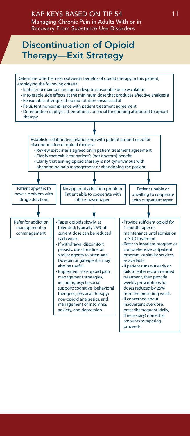#### KAP Keys Based on TIP 54 Managing Chronic Pain in Adults With or in Recovery From Substance Use Disorders

### Discontinuation of Opioid Therapy—Exit Strategy

Determine whether risks outweigh benefits of opioid therapy in this patient, employing the following criteria: • Inability to maintain analgesia despite reasonable dose escalation

- Intolerable side effects at the minimum dose that produces effective analgesia
- Reasonable attempts at opioid rotation unsuccessful
- Persistent noncompliance with patient treatment agreement
- Deterioration in physical, emotional, or social functioning attributed to opioid therapy